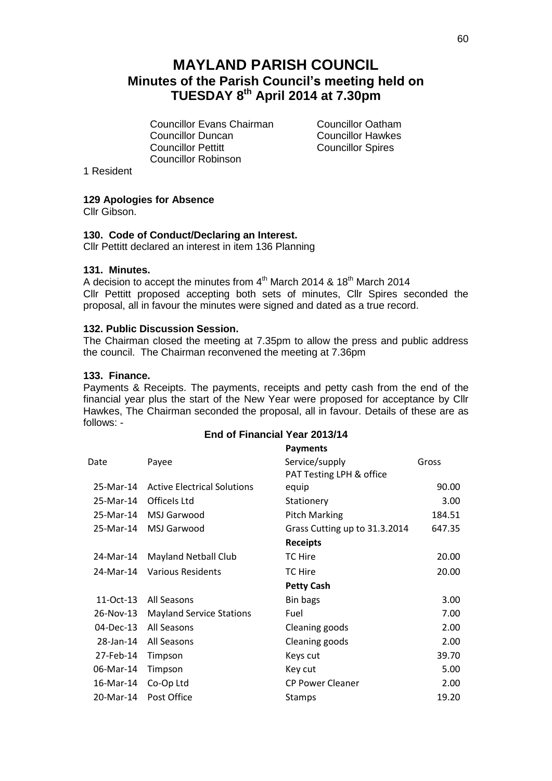# **MAYLAND PARISH COUNCIL Minutes of the Parish Council's meeting held on TUESDAY 8 th April 2014 at 7.30pm**

Councillor Evans Chairman Councillor Oatham **Councillor Duncan** Councillor Hawkes<br>
Councillor Pettitt Councillor Spires Councillor Robinson

**Councillor Spires** 

1 Resident

# **129 Apologies for Absence**

Cllr Gibson.

### **130. Code of Conduct/Declaring an Interest.**

Cllr Pettitt declared an interest in item 136 Planning

### **131. Minutes.**

A decision to accept the minutes from  $4^{\text{th}}$  March 2014 & 18<sup>th</sup> March 2014 Cllr Pettitt proposed accepting both sets of minutes, Cllr Spires seconded the proposal, all in favour the minutes were signed and dated as a true record.

### **132. Public Discussion Session.**

The Chairman closed the meeting at 7.35pm to allow the press and public address the council. The Chairman reconvened the meeting at 7.36pm

### **133. Finance.**

Payments & Receipts. The payments, receipts and petty cash from the end of the financial year plus the start of the New Year were proposed for acceptance by Cllr Hawkes, The Chairman seconded the proposal, all in favour. Details of these are as follows: -

## **End of Financial Year 2013/14**

|           |                                    | <b>Payments</b>               |        |
|-----------|------------------------------------|-------------------------------|--------|
| Date      | Payee                              | Service/supply                | Gross  |
|           |                                    | PAT Testing LPH & office      |        |
| 25-Mar-14 | <b>Active Electrical Solutions</b> | equip                         | 90.00  |
| 25-Mar-14 | Officels Ltd                       | Stationery                    | 3.00   |
| 25-Mar-14 | MSJ Garwood                        | <b>Pitch Marking</b>          | 184.51 |
| 25-Mar-14 | MSJ Garwood                        | Grass Cutting up to 31.3.2014 | 647.35 |
|           |                                    | <b>Receipts</b>               |        |
| 24-Mar-14 | <b>Mayland Netball Club</b>        | TC Hire                       | 20.00  |
| 24-Mar-14 | <b>Various Residents</b>           | TC Hire                       | 20.00  |
|           |                                    | <b>Petty Cash</b>             |        |
| 11-Oct-13 | All Seasons                        | Bin bags                      | 3.00   |
| 26-Nov-13 | <b>Mayland Service Stations</b>    | Fuel                          | 7.00   |
| 04-Dec-13 | All Seasons                        | Cleaning goods                | 2.00   |
| 28-Jan-14 | All Seasons                        | Cleaning goods                | 2.00   |
| 27-Feb-14 | Timpson                            | Keys cut                      | 39.70  |
| 06-Mar-14 | Timpson                            | Key cut                       | 5.00   |
| 16-Mar-14 | Co-Op Ltd                          | <b>CP Power Cleaner</b>       | 2.00   |
| 20-Mar-14 | Post Office                        | <b>Stamps</b>                 | 19.20  |
|           |                                    |                               |        |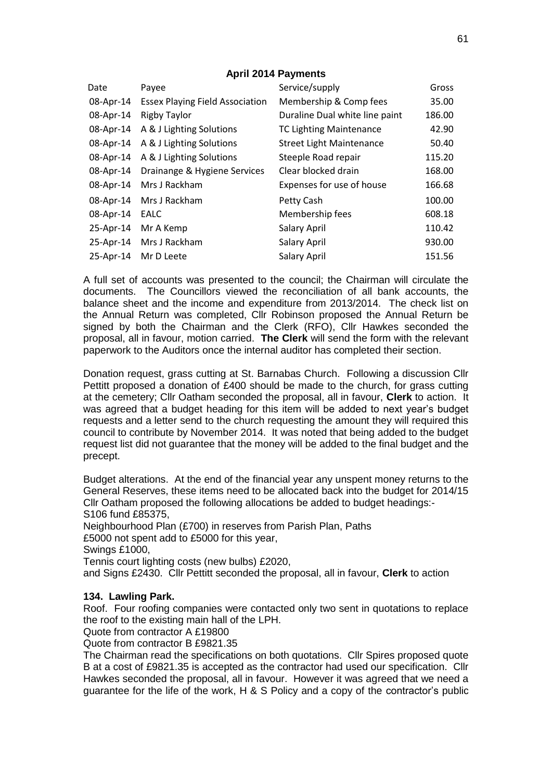# **April 2014 Payments**

| Date      | Payee                                  | Service/supply                  | Gross  |
|-----------|----------------------------------------|---------------------------------|--------|
| 08-Apr-14 | <b>Essex Playing Field Association</b> | Membership & Comp fees          | 35.00  |
| 08-Apr-14 | <b>Rigby Taylor</b>                    | Duraline Dual white line paint  | 186.00 |
| 08-Apr-14 | A & J Lighting Solutions               | <b>TC Lighting Maintenance</b>  | 42.90  |
| 08-Apr-14 | A & J Lighting Solutions               | <b>Street Light Maintenance</b> | 50.40  |
| 08-Apr-14 | A & J Lighting Solutions               | Steeple Road repair             | 115.20 |
| 08-Apr-14 | Drainange & Hygiene Services           | Clear blocked drain             | 168.00 |
| 08-Apr-14 | Mrs J Rackham                          | Expenses for use of house       | 166.68 |
| 08-Apr-14 | Mrs J Rackham                          | Petty Cash                      | 100.00 |
| 08-Apr-14 | <b>EALC</b>                            | Membership fees                 | 608.18 |
| 25-Apr-14 | Mr A Kemp                              | Salary April                    | 110.42 |
| 25-Apr-14 | Mrs J Rackham                          | <b>Salary April</b>             | 930.00 |
| 25-Apr-14 | Mr D Leete                             | Salary April                    | 151.56 |

A full set of accounts was presented to the council; the Chairman will circulate the documents. The Councillors viewed the reconciliation of all bank accounts, the balance sheet and the income and expenditure from 2013/2014. The check list on the Annual Return was completed, Cllr Robinson proposed the Annual Return be signed by both the Chairman and the Clerk (RFO), Cllr Hawkes seconded the proposal, all in favour, motion carried. **The Clerk** will send the form with the relevant paperwork to the Auditors once the internal auditor has completed their section.

Donation request, grass cutting at St. Barnabas Church. Following a discussion Cllr Pettitt proposed a donation of £400 should be made to the church, for grass cutting at the cemetery; Cllr Oatham seconded the proposal, all in favour, **Clerk** to action. It was agreed that a budget heading for this item will be added to next year's budget requests and a letter send to the church requesting the amount they will required this council to contribute by November 2014. It was noted that being added to the budget request list did not guarantee that the money will be added to the final budget and the precept.

Budget alterations. At the end of the financial year any unspent money returns to the General Reserves, these items need to be allocated back into the budget for 2014/15 Cllr Oatham proposed the following allocations be added to budget headings:- S106 fund £85375,

Neighbourhood Plan (£700) in reserves from Parish Plan, Paths £5000 not spent add to £5000 for this year, Swings £1000, Tennis court lighting costs (new bulbs) £2020,

and Signs £2430. Cllr Pettitt seconded the proposal, all in favour, **Clerk** to action

# **134. Lawling Park.**

Roof. Four roofing companies were contacted only two sent in quotations to replace the roof to the existing main hall of the LPH.

Quote from contractor A £19800

Quote from contractor B £9821.35

The Chairman read the specifications on both quotations. Cllr Spires proposed quote B at a cost of £9821.35 is accepted as the contractor had used our specification. Cllr Hawkes seconded the proposal, all in favour. However it was agreed that we need a guarantee for the life of the work, H & S Policy and a copy of the contractor's public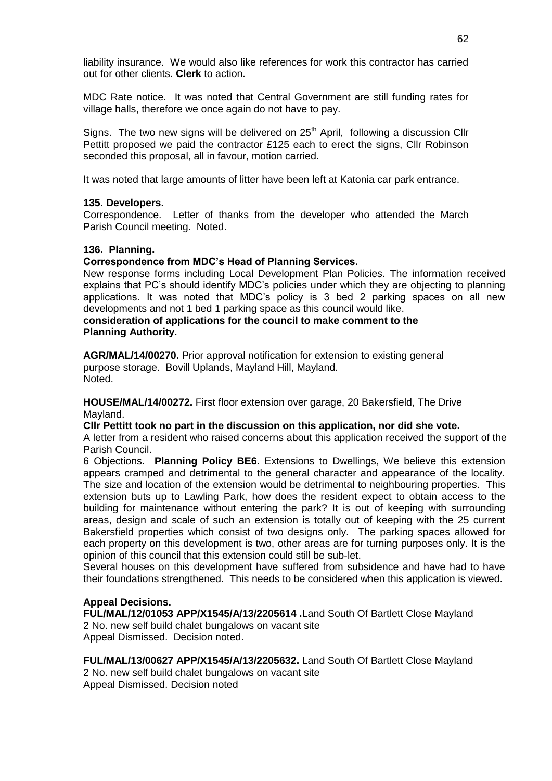liability insurance. We would also like references for work this contractor has carried out for other clients. **Clerk** to action.

MDC Rate notice. It was noted that Central Government are still funding rates for village halls, therefore we once again do not have to pay.

Signs. The two new signs will be delivered on  $25<sup>th</sup>$  April, following a discussion Cllr Pettitt proposed we paid the contractor £125 each to erect the signs, Cllr Robinson seconded this proposal, all in favour, motion carried.

It was noted that large amounts of litter have been left at Katonia car park entrance.

### **135. Developers.**

Correspondence. Letter of thanks from the developer who attended the March Parish Council meeting. Noted.

### **136. Planning.**

### **Correspondence from MDC's Head of Planning Services.**

New response forms including Local Development Plan Policies. The information received explains that PC's should identify MDC's policies under which they are objecting to planning applications. It was noted that MDC's policy is 3 bed 2 parking spaces on all new developments and not 1 bed 1 parking space as this council would like.

# **consideration of applications for the council to make comment to the Planning Authority.**

**AGR/MAL/14/00270.** Prior approval notification for extension to existing general purpose storage. Bovill Uplands, Mayland Hill, Mayland. Noted.

**HOUSE/MAL/14/00272.** First floor extension over garage, 20 Bakersfield, The Drive Mayland.

### **Cllr Pettitt took no part in the discussion on this application, nor did she vote.**

A letter from a resident who raised concerns about this application received the support of the Parish Council.

6 Objections. **Planning Policy BE6**. Extensions to Dwellings, We believe this extension appears cramped and detrimental to the general character and appearance of the locality. The size and location of the extension would be detrimental to neighbouring properties. This extension buts up to Lawling Park, how does the resident expect to obtain access to the building for maintenance without entering the park? It is out of keeping with surrounding areas, design and scale of such an extension is totally out of keeping with the 25 current Bakersfield properties which consist of two designs only. The parking spaces allowed for each property on this development is two, other areas are for turning purposes only. It is the opinion of this council that this extension could still be sub-let.

Several houses on this development have suffered from subsidence and have had to have their foundations strengthened. This needs to be considered when this application is viewed.

# **Appeal Decisions.**

**FUL/MAL/12/01053 APP/X1545/A/13/2205614 .**Land South Of Bartlett Close Mayland 2 No. new self build chalet bungalows on vacant site Appeal Dismissed. Decision noted.

**FUL/MAL/13/00627 APP/X1545/A/13/2205632.** Land South Of Bartlett Close Mayland

2 No. new self build chalet bungalows on vacant site Appeal Dismissed. Decision noted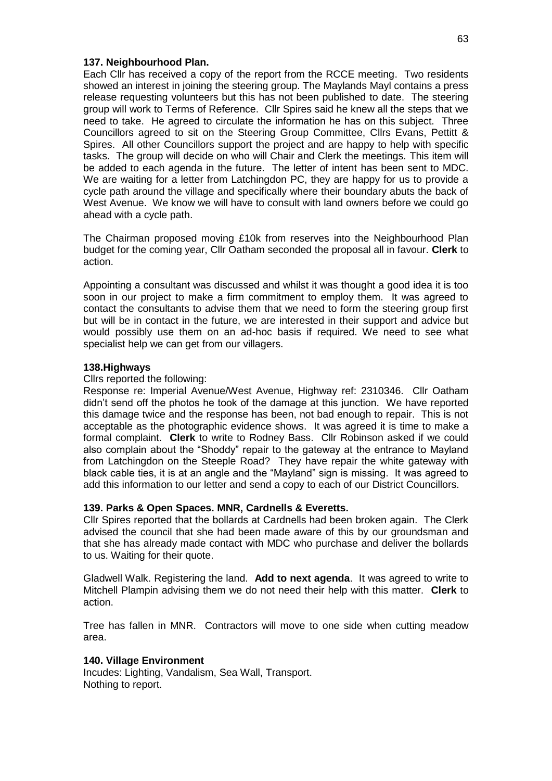### **137. Neighbourhood Plan.**

Each Cllr has received a copy of the report from the RCCE meeting. Two residents showed an interest in joining the steering group. The Maylands Mayl contains a press release requesting volunteers but this has not been published to date. The steering group will work to Terms of Reference. Cllr Spires said he knew all the steps that we need to take. He agreed to circulate the information he has on this subject. Three Councillors agreed to sit on the Steering Group Committee, Cllrs Evans, Pettitt & Spires. All other Councillors support the project and are happy to help with specific tasks. The group will decide on who will Chair and Clerk the meetings. This item will be added to each agenda in the future. The letter of intent has been sent to MDC. We are waiting for a letter from Latchingdon PC, they are happy for us to provide a cycle path around the village and specifically where their boundary abuts the back of West Avenue. We know we will have to consult with land owners before we could go ahead with a cycle path.

The Chairman proposed moving £10k from reserves into the Neighbourhood Plan budget for the coming year, Cllr Oatham seconded the proposal all in favour. **Clerk** to action.

Appointing a consultant was discussed and whilst it was thought a good idea it is too soon in our project to make a firm commitment to employ them. It was agreed to contact the consultants to advise them that we need to form the steering group first but will be in contact in the future, we are interested in their support and advice but would possibly use them on an ad-hoc basis if required. We need to see what specialist help we can get from our villagers.

### **138.Highways**

### Cllrs reported the following:

Response re: Imperial Avenue/West Avenue, Highway ref: 2310346. Cllr Oatham didn't send off the photos he took of the damage at this junction. We have reported this damage twice and the response has been, not bad enough to repair. This is not acceptable as the photographic evidence shows. It was agreed it is time to make a formal complaint. **Clerk** to write to Rodney Bass. Cllr Robinson asked if we could also complain about the "Shoddy" repair to the gateway at the entrance to Mayland from Latchingdon on the Steeple Road? They have repair the white gateway with black cable ties, it is at an angle and the "Mayland" sign is missing. It was agreed to add this information to our letter and send a copy to each of our District Councillors.

### **139. Parks & Open Spaces. MNR, Cardnells & Everetts.**

Cllr Spires reported that the bollards at Cardnells had been broken again. The Clerk advised the council that she had been made aware of this by our groundsman and that she has already made contact with MDC who purchase and deliver the bollards to us. Waiting for their quote.

Gladwell Walk. Registering the land. **Add to next agenda**. It was agreed to write to Mitchell Plampin advising them we do not need their help with this matter. **Clerk** to action.

Tree has fallen in MNR. Contractors will move to one side when cutting meadow area.

### **140. Village Environment**

Incudes: Lighting, Vandalism, Sea Wall, Transport. Nothing to report.